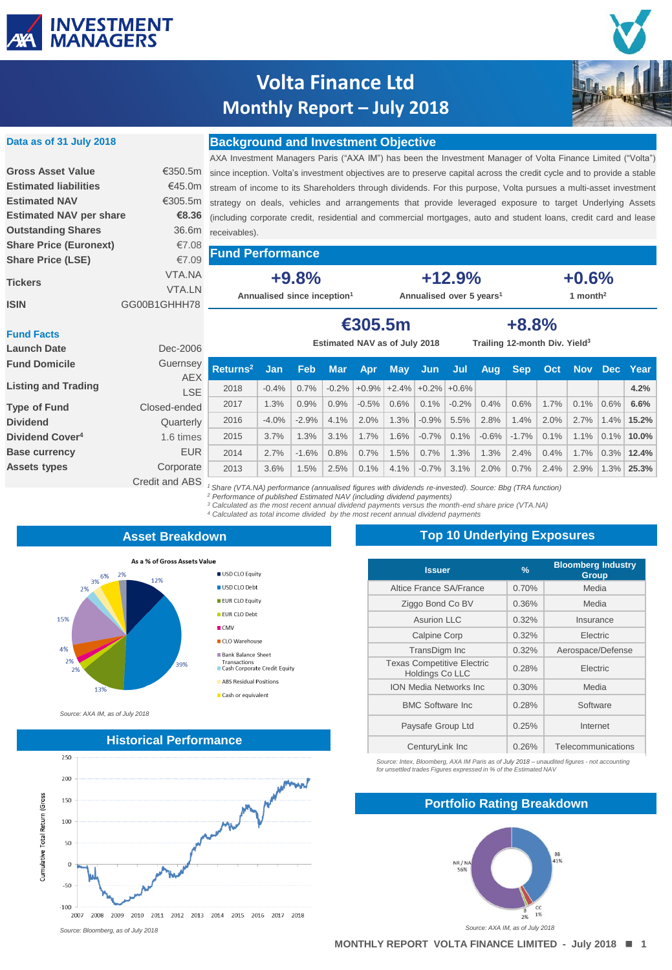

**Data as of 31 July 2018**

# **Volta Finance Ltd Monthly Report – July 2018**



### **Background and Investment Objective**

|                                |               | AXA Investment Managers Paris ("AX       |
|--------------------------------|---------------|------------------------------------------|
| <b>Gross Asset Value</b>       | €350.5m       | since inception. Volta's investment obje |
| <b>Estimated liabilities</b>   | €45.0m        | stream of income to its Shareholders     |
| <b>Estimated NAV</b>           | €305.5m       | strategy on deals, vehicles and arra     |
| <b>Estimated NAV per share</b> | €8.36         | (including corporate credit, residential |
| <b>Outstanding Shares</b>      | 36.6m         | receivables).                            |
| <b>Share Price (Euronext)</b>  | €7.08         |                                          |
| <b>Share Price (LSE)</b>       | €7.09         | <b>Fund Performance</b>                  |
|                                | VTA.NA        | $+9.8%$                                  |
| <b>Tickers</b>                 | <b>VTA.LN</b> | Annualised since inception <sup>1</sup>  |
| <b>ISIN</b>                    | GG00B1GHHH78  |                                          |
|                                |               |                                          |

A IM") has been the Investment Manager of Volta Finance Limited ("Volta") ectives are to preserve capital across the credit cycle and to provide a stable through dividends. For this purpose, Volta pursues a multi-asset investment angements that provide leveraged exposure to target Underlying Assets and commercial mortgages, auto and student loans, credit card and lease

**Annualised over 5 years<sup>1</sup>**

**+12.9%**

**+0.6% 1 month<sup>2</sup>**

| <b>Fund Facts</b><br><b>Launch Date</b> | Dec-2006       | €305.5m<br>$+8.8%$<br>Trailing 12-month Div. Yield <sup>3</sup><br>Estimated NAV as of July 2018       |            |            |            |            |            |                            |         |         |            |      |      |         |              |
|-----------------------------------------|----------------|--------------------------------------------------------------------------------------------------------|------------|------------|------------|------------|------------|----------------------------|---------|---------|------------|------|------|---------|--------------|
| <b>Fund Domicile</b>                    | Guernsey       | Returns <sup>2</sup>                                                                                   | <b>Jan</b> | <b>Feb</b> | <b>Mar</b> | <b>Apr</b> | <b>May</b> | <b>Jun</b>                 | Jul     | Aug.    | <b>Sep</b> | Oct  |      |         | Nov Dec Year |
| <b>Listing and Trading</b>              | <b>AEX</b>     |                                                                                                        |            |            |            |            |            |                            |         |         |            |      |      |         |              |
|                                         | <b>LSE</b>     | 2018                                                                                                   | $-0.4%$    | 0.7%       | $-0.2%$    |            |            | $+0.9\%$ +2.4% +0.2% +0.6% |         |         |            |      |      |         | 4.2%         |
| <b>Type of Fund</b>                     | Closed-ended   | 2017                                                                                                   | 1.3%       | 0.9%       | 0.9%       | $-0.5%$    | 0.6%       | 0.1%                       | $-0.2%$ | 0.4%    | 0.6%       | 1.7% | 0.1% | 0.6%    | 6.6%         |
| <b>Dividend</b>                         | Quarterly      | 2016                                                                                                   | $-4.0%$    | $-2.9%$    | 4.1%       | 2.0%       | 1.3%       | $-0.9%$                    | 5.5%    | 2.8%    | 1.4%       | 2.0% | 2.7% | 1.4%    | 15.2%        |
| Dividend Cover <sup>4</sup>             | 1.6 times      | 2015                                                                                                   | 3.7%       | 1.3%       | 3.1%       | 1.7%       | 1.6%       | $-0.7%$                    | 0.1%    | $-0.6%$ | $-1.7%$    | 0.1% | 1.1% | $0.1\%$ | $10.0\%$     |
| <b>Base currency</b>                    | <b>EUR</b>     | 2014                                                                                                   | 2.7%       | $-1.6%$    | 0.8%       | 0.7%       | 1.5%       | 0.7%                       | 1.3%    | 1.3%    | 2.4%       | 0.4% | 1.7% | 0.3%    | 12.4%        |
| <b>Assets types</b>                     | Corporate      | 2013                                                                                                   | 3.6%       | 1.5%       | 2.5%       | 0.1%       | 4.1%       | $-0.7%$                    | 3.1%    | 2.0%    | 0.7%       | 2.4% | 2.9% | 1.3%    | 25.3%        |
|                                         | Credit and ABS | Share (VTA.NA) performance (annualised figures with dividends re-invested). Source: Bbg (TRA function) |            |            |            |            |            |                            |         |         |            |      |      |         |              |

1 Share (VTA.NA) performance (annualised figures with dividends re-invested). Source: Bbg (TRA function)<br><sup>2</sup> Performance of published Estimated NAV (including dividend payments)

*<sup>3</sup> Calculated as the most recent annual dividend payments versus the month-end share price (VTA.NA) <sup>4</sup> Calculated as total income divided by the most recent annual dividend payments* 

#### **Asset Breakdown**

USD CLO Equity

USD CLO Debt

EUR CLO Equity **EUR CLO Debt** 

Bank Balance Sheet Transactions<br>
Cash Corporate Credit Equity

ABS Residual Positions

Cash or equivalent

 $\blacksquare$  CMV ■ CLO Warehouse



*Source: AXA IM, as of July 2018*



### **Top 10 Underlying Exposures**

| <b>Issuer</b>                                               | $\frac{9}{6}$ | <b>Bloomberg Industry</b><br>Group |
|-------------------------------------------------------------|---------------|------------------------------------|
| Altice France SA/France                                     | 0.70%         | Media                              |
| Ziggo Bond Co BV                                            | 0.36%         | Media                              |
| Asurion LLC                                                 | 0.32%         | Insurance                          |
| <b>Calpine Corp</b>                                         | 0.32%         | Electric                           |
| TransDigm Inc                                               | 0.32%         | Aerospace/Defense                  |
| <b>Texas Competitive Electric</b><br><b>Holdings Co LLC</b> | 0.28%         | Electric                           |
| <b>ION Media Networks Inc.</b>                              | 0.30%         | Media                              |
| <b>BMC Software Inc.</b>                                    | 0.28%         | Software                           |
| Paysafe Group Ltd                                           | 0.25%         | Internet                           |
| CenturyLink Inc                                             | 0.26%         | Telecommunications                 |

*Source: Intex, Bloomberg, AXA IM Paris as of July 2018 – unaudited figures - not accounting for unsettled trades Figures expressed in % of the Estimated NAV*

### **Portfolio Rating Breakdown**

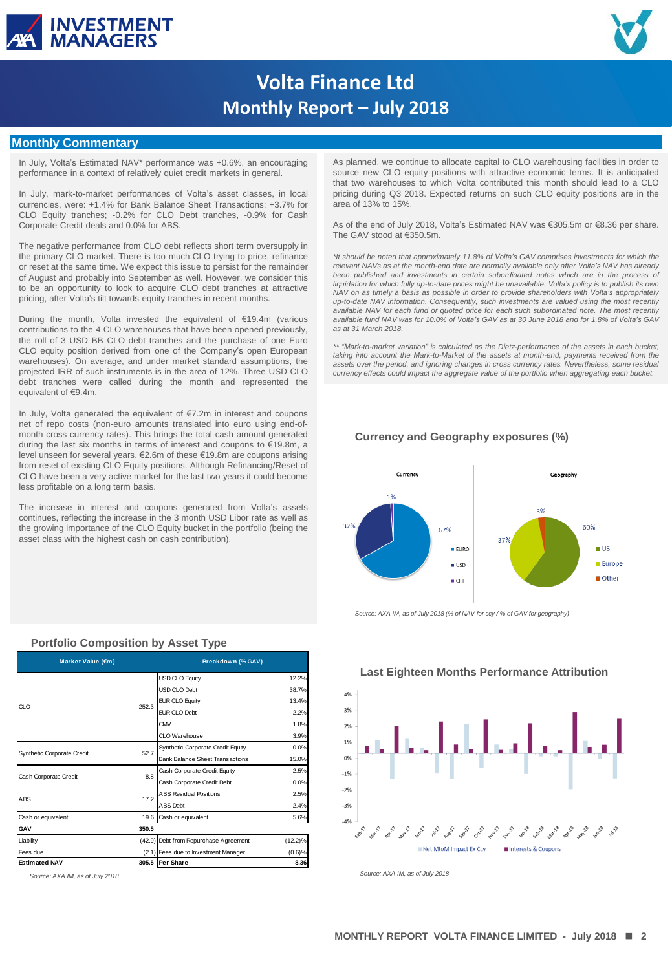



# **Volta Finance Ltd Monthly Report – July 2018**

#### **Monthly Commentary**

In July, Volta's Estimated NAV\* performance was +0.6%, an encouraging performance in a context of relatively quiet credit markets in general.

In July, mark-to-market performances of Volta's asset classes, in local currencies, were: +1.4% for Bank Balance Sheet Transactions; +3.7% for CLO Equity tranches; -0.2% for CLO Debt tranches, -0.9% for Cash Corporate Credit deals and 0.0% for ABS.

The negative performance from CLO debt reflects short term oversupply in the primary CLO market. There is too much CLO trying to price, refinance or reset at the same time. We expect this issue to persist for the remainder of August and probably into September as well. However, we consider this to be an opportunity to look to acquire CLO debt tranches at attractive pricing, after Volta's tilt towards equity tranches in recent months.

During the month, Volta invested the equivalent of €19.4m (various contributions to the 4 CLO warehouses that have been opened previously, the roll of 3 USD BB CLO debt tranches and the purchase of one Euro CLO equity position derived from one of the Company's open European warehouses). On average, and under market standard assumptions, the projected IRR of such instruments is in the area of 12%. Three USD CLO debt tranches were called during the month and represented the equivalent of €9.4m.

In July, Volta generated the equivalent of €7.2m in interest and coupons net of repo costs (non-euro amounts translated into euro using end-ofmonth cross currency rates). This brings the total cash amount generated during the last six months in terms of interest and coupons to €19.8m, a level unseen for several years. €2.6m of these €19.8m are coupons arising from reset of existing CLO Equity positions. Although Refinancing/Reset of CLO have been a very active market for the last two years it could become less profitable on a long term basis.

The increase in interest and coupons generated from Volta's assets continues, reflecting the increase in the 3 month USD Libor rate as well as the growing importance of the CLO Equity bucket in the portfolio (being the asset class with the highest cash on cash contribution).

| Market Value (€m)          |       | Breakdown (% GAV)                      |            |  |  |
|----------------------------|-------|----------------------------------------|------------|--|--|
|                            |       | <b>USD CLO Equity</b>                  | 12.2%      |  |  |
|                            |       | USD CLO Debt                           | 38.7%      |  |  |
| CLO                        | 252.3 | <b>EUR CLO Equity</b>                  | 13.4%      |  |  |
|                            |       | <b>EUR CLO Debt</b>                    | 2.2%       |  |  |
|                            |       | <b>CMV</b>                             | 1.8%       |  |  |
|                            |       | CLO Warehouse                          | 3.9%       |  |  |
| Synthetic Corporate Credit | 52.7  | Synthetic Corporate Credit Equity      | 0.0%       |  |  |
|                            |       | <b>Bank Balance Sheet Transactions</b> | 15.0%      |  |  |
| Cash Corporate Credit      | 8.8   | Cash Corporate Credit Equity           | 2.5%       |  |  |
|                            |       | Cash Corporate Credit Debt             | 0.0%       |  |  |
| ABS                        | 17.2  | <b>ABS Residual Positions</b>          | 2.5%       |  |  |
|                            |       | <b>ABS</b> Debt                        | 2.4%       |  |  |
| Cash or equivalent         | 19.6  | Cash or equivalent                     | 5.6%       |  |  |
| GAV                        | 350.5 |                                        |            |  |  |
| Liability                  |       | (42.9) Debt from Repurchase Agreement  | $(12.2)\%$ |  |  |
| Fees due                   |       | (2.1) Fees due to Investment Manager   | (0.6)%     |  |  |
| <b>Estimated NAV</b>       |       | 305.5 Per Share                        | 8.36       |  |  |

**Portfolio Composition by Asset Type**

As planned, we continue to allocate capital to CLO warehousing facilities in order to source new CLO equity positions with attractive economic terms. It is anticipated that two warehouses to which Volta contributed this month should lead to a CLO pricing during Q3 2018. Expected returns on such CLO equity positions are in the area of 13% to 15%.

As of the end of July 2018, Volta's Estimated NAV was €305.5m or €8.36 per share. The GAV stood at €350.5m.

*\*It should be noted that approximately 11.8% of Volta's GAV comprises investments for which the relevant NAVs as at the month-end date are normally available only after Volta's NAV has already been published and investments in certain subordinated notes which are in the process of liquidation for which fully up-to-date prices might be unavailable. Volta's policy is to publish its own* NAV on as timely a basis as possible in order to provide shareholders with Volta's appropriately<br>up-to-date NAV information. Consequently, such investments are valued using the most recently *available NAV for each fund or quoted price for each such subordinated note. The most recently* available fund NAV was for 10.0% of Volta's GAV as at 30 June 2018 and for 1.8% of Volta's GAV *as at 31 March 2018.*

*\*\* "Mark-to-market variation" is calculated as the Dietz-performance of the assets in each bucket, taking into account the Mark-to-Market of the assets at month-end, payments received from the assets over the period, and ignoring changes in cross currency rates. Nevertheless, some residual currency effects could impact the aggregate value of the portfolio when aggregating each bucket.*

#### **Currency and Geography exposures (%)**



*Source: AXA IM, as of July 2018 (% of NAV for ccy / % of GAV for geography)*



#### **Last Eighteen Months Performance Attribution**

*Source: AXA IM, as of July 2018 Source: AXA IM, as of July 2018*